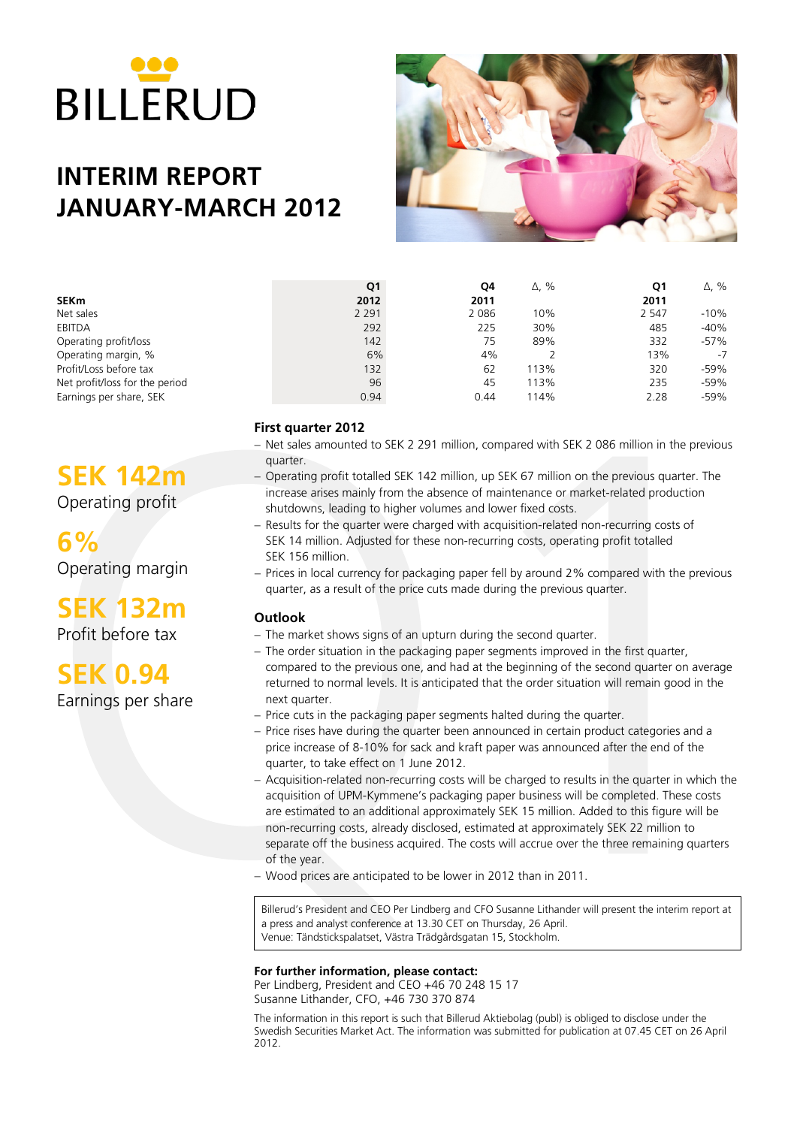

# **INTERIM REPORT JANUARY-MARCH 2012**



|                                | Q1      | Q4      | $\Delta$ , % | Q1      | $\Delta$ , % |
|--------------------------------|---------|---------|--------------|---------|--------------|
| <b>SEKm</b>                    | 2012    | 2011    |              | 2011    |              |
| Net sales                      | 2 2 9 1 | 2 0 8 6 | 10%          | 2 5 4 7 | $-10%$       |
| EBITDA                         | 292     | 225     | 30%          | 485     | $-40%$       |
| Operating profit/loss          | 142     | 75      | 89%          | 332     | $-57%$       |
| Operating margin, %            | 6%      | 4%      |              | 13%     | -7           |
| Profit/Loss before tax         | 132     | 62      | 113%         | 320     | $-59%$       |
| Net profit/loss for the period | 96      | 45      | 113%         | 235     | $-59%$       |
| Earnings per share, SEK        | 0.94    | 0.44    | 114%         | 2.28    | $-59%$       |

### **First quarter 2012**

- − Net sales amounted to SEK 2 291 million, compared with SEK 2 086 million in the previous quarter.
- − Operating profit totalled SEK 142 million, up SEK 67 million on the previous quarter. The increase arises mainly from the absence of maintenance or market-related production shutdowns, leading to higher volumes and lower fixed costs.
- − Results for the quarter were charged with acquisition-related non-recurring costs of SEK 14 million. Adjusted for these non-recurring costs, operating profit totalled SEK 156 million.
- − Prices in local currency for packaging paper fell by around 2% compared with the previous quarter, as a result of the price cuts made during the previous quarter.

### **Outlook**

- − The market shows signs of an upturn during the second quarter.
- − The order situation in the packaging paper segments improved in the first quarter, compared to the previous one, and had at the beginning of the second quarter on average returned to normal levels. It is anticipated that the order situation will remain good in the next quarter.
- − Price cuts in the packaging paper segments halted during the quarter.
- − Price rises have during the quarter been announced in certain product categories and a price increase of 8-10% for sack and kraft paper was announced after the end of the quarter, to take effect on 1 June 2012.
- − Acquisition-related non-recurring costs will be charged to results in the quarter in which the acquisition of UPM-Kymmene's packaging paper business will be completed. These costs are estimated to an additional approximately SEK 15 million. Added to this figure will be non-recurring costs, already disclosed, estimated at approximately SEK 22 million to separate off the business acquired. The costs will accrue over the three remaining quarters of the year.
- − Wood prices are anticipated to be lower in 2012 than in 2011.

Billerud's President and CEO Per Lindberg and CFO Susanne Lithander will present the interim report at a press and analyst conference at 13.30 CET on Thursday, 26 April. Venue: Tändstickspalatset, Västra Trädgårdsgatan 15, Stockholm.

### **For further information, please contact:**

Per Lindberg, President and CEO +46 70 248 15 17 Susanne Lithander, CFO, +46 730 370 874

The information in this report is such that Billerud Aktiebolag (publ) is obliged to disclose under the Swedish Securities Market Act. The information was submitted for publication at 07.45 CET on 26 April 2012.

# **SEK 142m**

Operating profit

**6%** Operating margin

# **SEK 132m**

Profit before tax

**SEK 0.94**

Earnings per share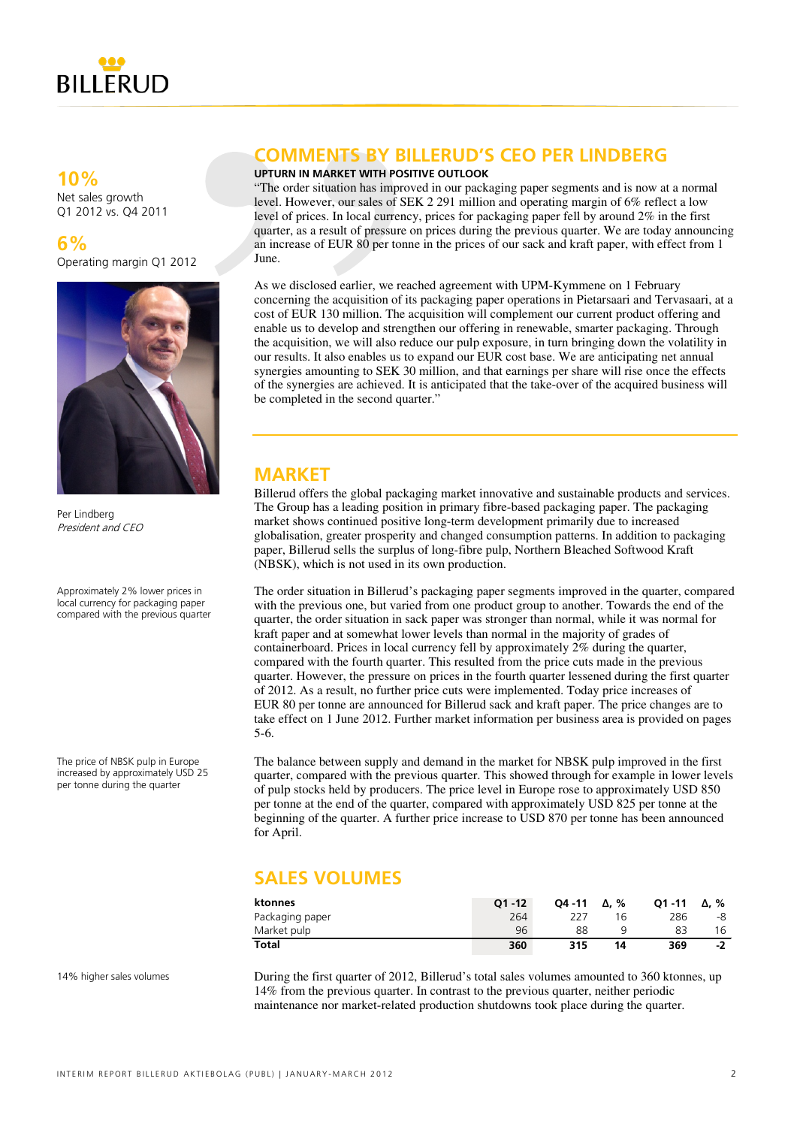

### **10%**

Net sales growth Q1 2012 vs. Q4 2011

**6%** Operating margin Q1 2012



Per Lindberg President and CEO

Approximately 2% lower prices in local currency for packaging paper compared with the previous quarter

The price of NBSK pulp in Europe increased by approximately USD 25 per tonne during the quarter

### **COMMENTS BY BILLERUD'S CEO PER LINDBERG**

### **UPTURN IN MARKET WITH POSITIVE OUTLOOK**

"The order situation has improved in our packaging paper segments and is now at a normal level. However, our sales of SEK 2 291 million and operating margin of 6% reflect a low level of prices. In local currency, prices for packaging paper fell by around 2% in the first quarter, as a result of pressure on prices during the previous quarter. We are today announcing an increase of EUR 80 per tonne in the prices of our sack and kraft paper, with effect from 1 June.

As we disclosed earlier, we reached agreement with UPM-Kymmene on 1 February concerning the acquisition of its packaging paper operations in Pietarsaari and Tervasaari, at a cost of EUR 130 million. The acquisition will complement our current product offering and enable us to develop and strengthen our offering in renewable, smarter packaging. Through the acquisition, we will also reduce our pulp exposure, in turn bringing down the volatility in our results. It also enables us to expand our EUR cost base. We are anticipating net annual synergies amounting to SEK 30 million, and that earnings per share will rise once the effects of the synergies are achieved. It is anticipated that the take-over of the acquired business will be completed in the second quarter."

### **MARKET**

Billerud offers the global packaging market innovative and sustainable products and services. The Group has a leading position in primary fibre-based packaging paper. The packaging market shows continued positive long-term development primarily due to increased globalisation, greater prosperity and changed consumption patterns. In addition to packaging paper, Billerud sells the surplus of long-fibre pulp, Northern Bleached Softwood Kraft (NBSK), which is not used in its own production.

The order situation in Billerud's packaging paper segments improved in the quarter, compared with the previous one, but varied from one product group to another. Towards the end of the quarter, the order situation in sack paper was stronger than normal, while it was normal for kraft paper and at somewhat lower levels than normal in the majority of grades of containerboard. Prices in local currency fell by approximately 2% during the quarter, compared with the fourth quarter. This resulted from the price cuts made in the previous quarter. However, the pressure on prices in the fourth quarter lessened during the first quarter of 2012. As a result, no further price cuts were implemented. Today price increases of EUR 80 per tonne are announced for Billerud sack and kraft paper. The price changes are to take effect on 1 June 2012. Further market information per business area is provided on pages 5-6.

The balance between supply and demand in the market for NBSK pulp improved in the first quarter, compared with the previous quarter. This showed through for example in lower levels of pulp stocks held by producers. The price level in Europe rose to approximately USD 850 per tonne at the end of the quarter, compared with approximately USD 825 per tonne at the beginning of the quarter. A further price increase to USD 870 per tonne has been announced for April.

## **SALES VOLUMES**

| ktonnes         | $O1 - 12$ | $04 - 11$ | Δ. % | $O1 - 11$ | $\Delta$ . % |
|-----------------|-----------|-----------|------|-----------|--------------|
| Packaging paper | 264       |           | 16   | 286       | -8           |
| Market pulp     | 96        | 88        |      |           | 16           |
| Total           | 360       | 315       | 14   | 369       | -1           |

14% higher sales volumes

During the first quarter of 2012, Billerud's total sales volumes amounted to 360 ktonnes, up 14% from the previous quarter. In contrast to the previous quarter, neither periodic maintenance nor market-related production shutdowns took place during the quarter.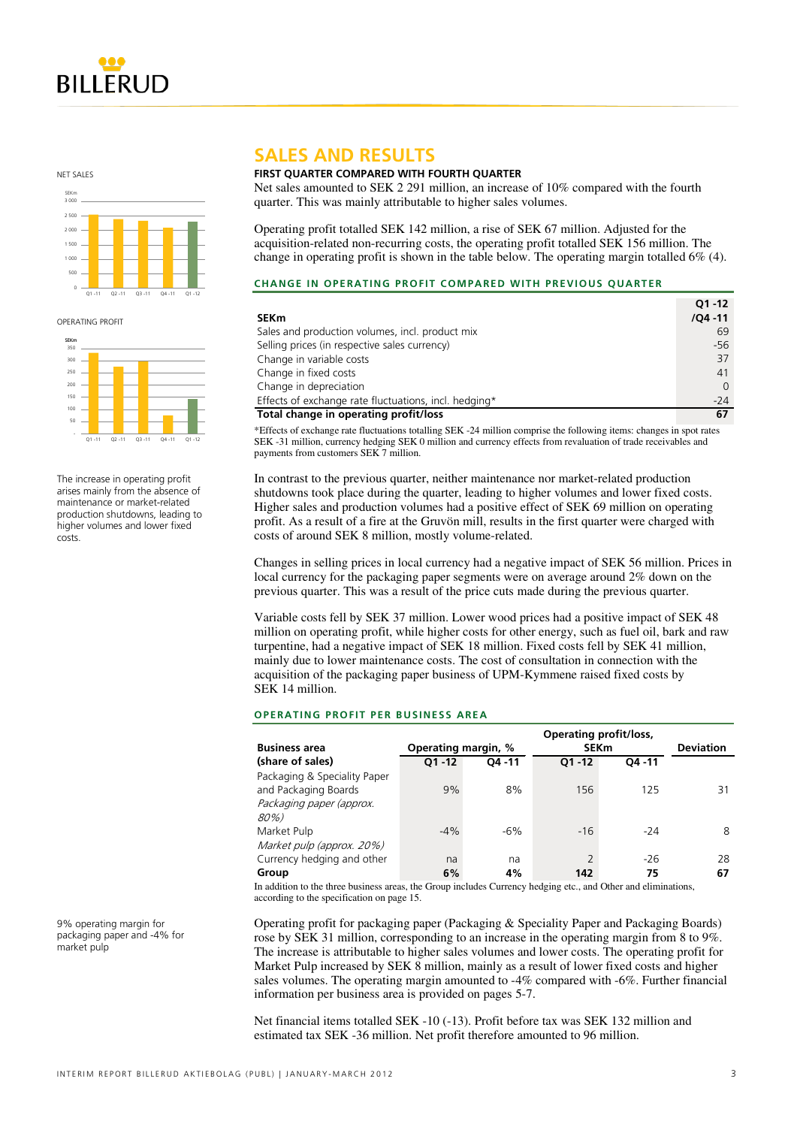

NET SALES



OPERATING PROFIT



The increase in operating profit arises mainly from the absence of maintenance or market-related production shutdowns, leading to higher volumes and lower fixed costs.

#### 9% operating margin for packaging paper and -4% for market pulp

### **SALES AND RESULTS**

### **FIRST QUARTER COMPARED WITH FOURTH QUARTER**

Net sales amounted to SEK 2 291 million, an increase of 10% compared with the fourth quarter. This was mainly attributable to higher sales volumes.

Operating profit totalled SEK 142 million, a rise of SEK 67 million. Adjusted for the acquisition-related non-recurring costs, the operating profit totalled SEK 156 million. The change in operating profit is shown in the table below. The operating margin totalled 6% (4).

#### **CHANGE IN OPERATING PROFIT COMPARED WITH PREVIOUS QUARTER**

|                                                       | $O1 - 12$  |
|-------------------------------------------------------|------------|
| <b>SEKm</b>                                           | $/QA - 11$ |
| Sales and production volumes, incl. product mix       | 69         |
| Selling prices (in respective sales currency)         | $-56$      |
| Change in variable costs                              | 37         |
| Change in fixed costs                                 | 41         |
| Change in depreciation                                | 0          |
| Effects of exchange rate fluctuations, incl. hedging* | $-24$      |
| Total change in operating profit/loss                 | 67         |

\*Effects of exchange rate fluctuations totalling SEK -24 million comprise the following items: changes in spot rates SEK -31 million, currency hedging SEK 0 million and currency effects from revaluation of trade receivables and payments from customers SEK 7 million.

In contrast to the previous quarter, neither maintenance nor market-related production shutdowns took place during the quarter, leading to higher volumes and lower fixed costs. Higher sales and production volumes had a positive effect of SEK 69 million on operating profit. As a result of a fire at the Gruvön mill, results in the first quarter were charged with costs of around SEK 8 million, mostly volume-related.

Changes in selling prices in local currency had a negative impact of SEK 56 million. Prices in local currency for the packaging paper segments were on average around 2% down on the previous quarter. This was a result of the price cuts made during the previous quarter.

Variable costs fell by SEK 37 million. Lower wood prices had a positive impact of SEK 48 million on operating profit, while higher costs for other energy, such as fuel oil, bark and raw turpentine, had a negative impact of SEK 18 million. Fixed costs fell by SEK 41 million, mainly due to lower maintenance costs. The cost of consultation in connection with the acquisition of the packaging paper business of UPM-Kymmene raised fixed costs by SEK 14 million.

### **OPERATING PROFIT PER BUSINESS AREA**

|                              | Operating profit/loss, |           |                |             |                  |
|------------------------------|------------------------|-----------|----------------|-------------|------------------|
| <b>Business area</b>         | Operating margin, %    |           |                | <b>SEKm</b> | <b>Deviation</b> |
| (share of sales)             | $O1 - 12$              | $04 - 11$ | $O1 - 12$      | 04 - 11     |                  |
| Packaging & Speciality Paper |                        |           |                |             |                  |
| and Packaging Boards         | 9%                     | 8%        | 156            | 125         | 31               |
| Packaging paper (approx.     |                        |           |                |             |                  |
| 80%)                         |                        |           |                |             |                  |
| Market Pulp                  | $-4%$                  | $-6%$     | $-16$          | $-24$       | 8                |
| Market pulp (approx. 20%)    |                        |           |                |             |                  |
| Currency hedging and other   | na                     | na        | $\overline{2}$ | $-26$       | 28               |
| Group                        | 6%                     | 4%        | 142            | 75          | 67               |

In addition to the three business areas, the Group includes Currency hedging etc., and Other and eliminations, according to the specification on page 15.

Operating profit for packaging paper (Packaging & Speciality Paper and Packaging Boards) rose by SEK 31 million, corresponding to an increase in the operating margin from 8 to 9%. The increase is attributable to higher sales volumes and lower costs. The operating profit for Market Pulp increased by SEK 8 million, mainly as a result of lower fixed costs and higher sales volumes. The operating margin amounted to -4% compared with -6%. Further financial information per business area is provided on pages 5-7.

Net financial items totalled SEK -10 (-13). Profit before tax was SEK 132 million and estimated tax SEK -36 million. Net profit therefore amounted to 96 million.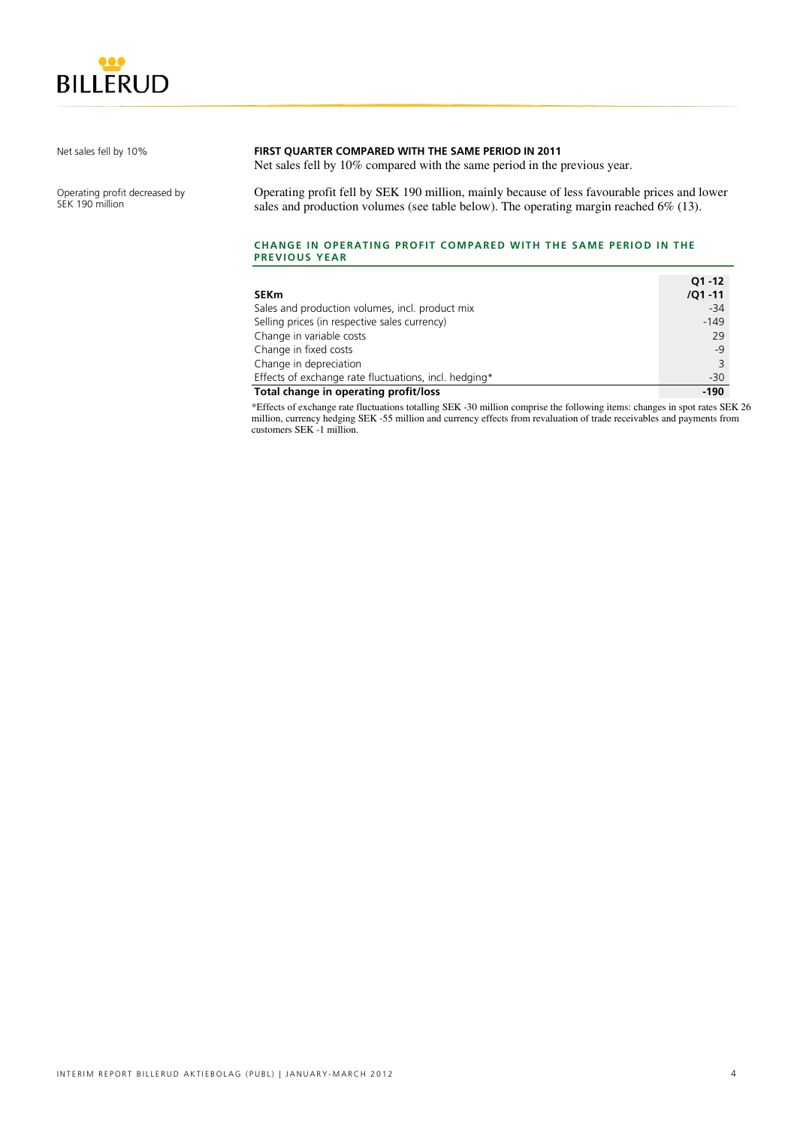

Net sales fell by 10%

Operating profit decreased by SEK 190 million

### **FIRST QUARTER COMPARED WITH THE SAME PERIOD IN 2011**

Net sales fell by 10% compared with the same period in the previous year.

Operating profit fell by SEK 190 million, mainly because of less favourable prices and lower sales and production volumes (see table below). The operating margin reached 6% (13).

#### **CHANGE IN OPERATING PROFIT COMPARED WITH THE SAME PERIOD IN THE PREVIOUS YEAR**

|                                                       | $Q1 - 12$  |
|-------------------------------------------------------|------------|
| <b>SEKm</b>                                           | $/Q1 - 11$ |
| Sales and production volumes, incl. product mix       | $-34$      |
| Selling prices (in respective sales currency)         | $-149$     |
| Change in variable costs                              | 29         |
| Change in fixed costs                                 | $-9$       |
| Change in depreciation                                | 3          |
| Effects of exchange rate fluctuations, incl. hedging* | $-30$      |
| Total change in operating profit/loss                 | $-190$     |

\*Effects of exchange rate fluctuations totalling SEK -30 million comprise the following items: changes in spot rates SEK 26 million, currency hedging SEK -55 million and currency effects from revaluation of trade receivables and payments from customers SEK -1 million.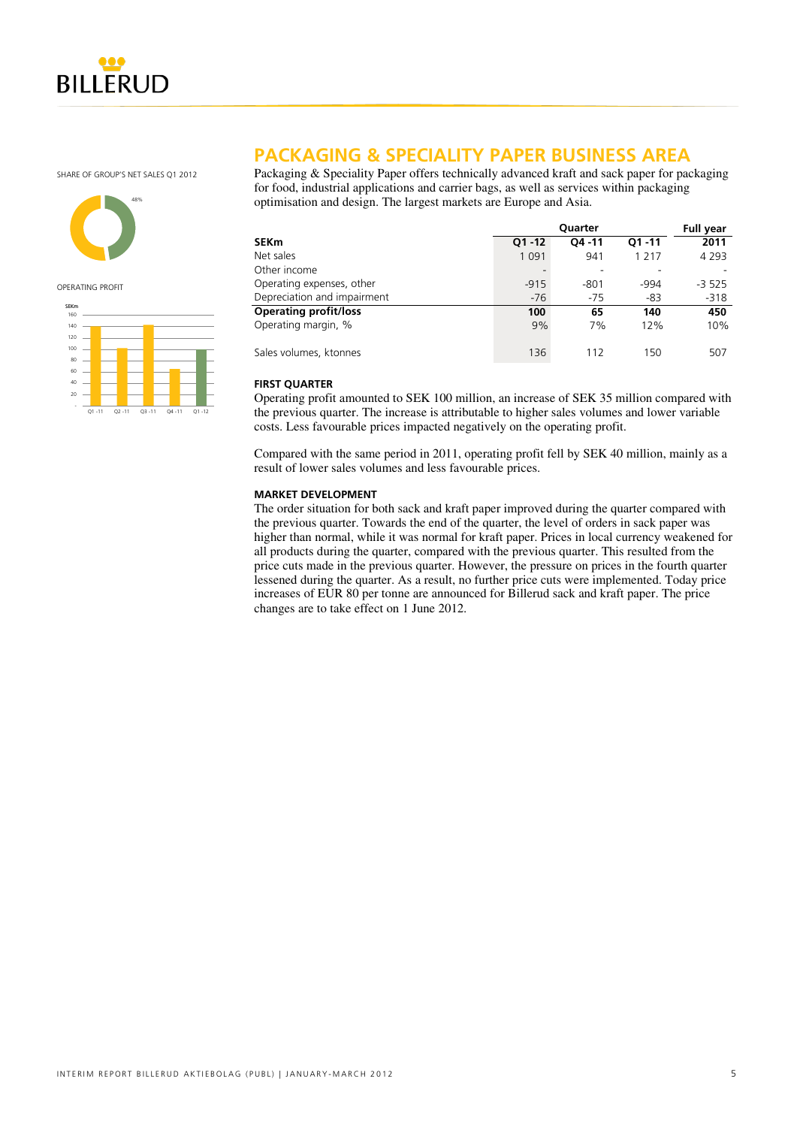

SHARE OF GROUP'S NET SALES Q1 2012



OPERATING PROFIT



### **PACKAGING & SPECIALITY PAPER BUSINESS AREA**

Packaging & Speciality Paper offers technically advanced kraft and sack paper for packaging for food, industrial applications and carrier bags, as well as services within packaging optimisation and design. The largest markets are Europe and Asia.

|                              | Quarter   |           |           |         |  |
|------------------------------|-----------|-----------|-----------|---------|--|
| <b>SEKm</b>                  | $Q1 - 12$ | $04 - 11$ | $O1 - 11$ | 2011    |  |
| Net sales                    | 1 0 9 1   | 941       | 1 2 1 7   | 4 2 9 3 |  |
| Other income                 |           |           |           |         |  |
| Operating expenses, other    | $-915$    | $-801$    | $-994$    | $-3525$ |  |
| Depreciation and impairment  | $-76$     | $-75$     | $-83$     | $-318$  |  |
| <b>Operating profit/loss</b> | 100       | 65        | 140       | 450     |  |
| Operating margin, %          | 9%        | 7%        | 12%       | 10%     |  |
| Sales volumes, ktonnes       | 136       | 112       | 150       | 507     |  |

### **FIRST QUARTER**

Operating profit amounted to SEK 100 million, an increase of SEK 35 million compared with the previous quarter. The increase is attributable to higher sales volumes and lower variable costs. Less favourable prices impacted negatively on the operating profit.

Compared with the same period in 2011, operating profit fell by SEK 40 million, mainly as a result of lower sales volumes and less favourable prices.

### **MARKET DEVELOPMENT**

The order situation for both sack and kraft paper improved during the quarter compared with the previous quarter. Towards the end of the quarter, the level of orders in sack paper was higher than normal, while it was normal for kraft paper. Prices in local currency weakened for all products during the quarter, compared with the previous quarter. This resulted from the price cuts made in the previous quarter. However, the pressure on prices in the fourth quarter lessened during the quarter. As a result, no further price cuts were implemented. Today price increases of EUR 80 per tonne are announced for Billerud sack and kraft paper. The price changes are to take effect on 1 June 2012.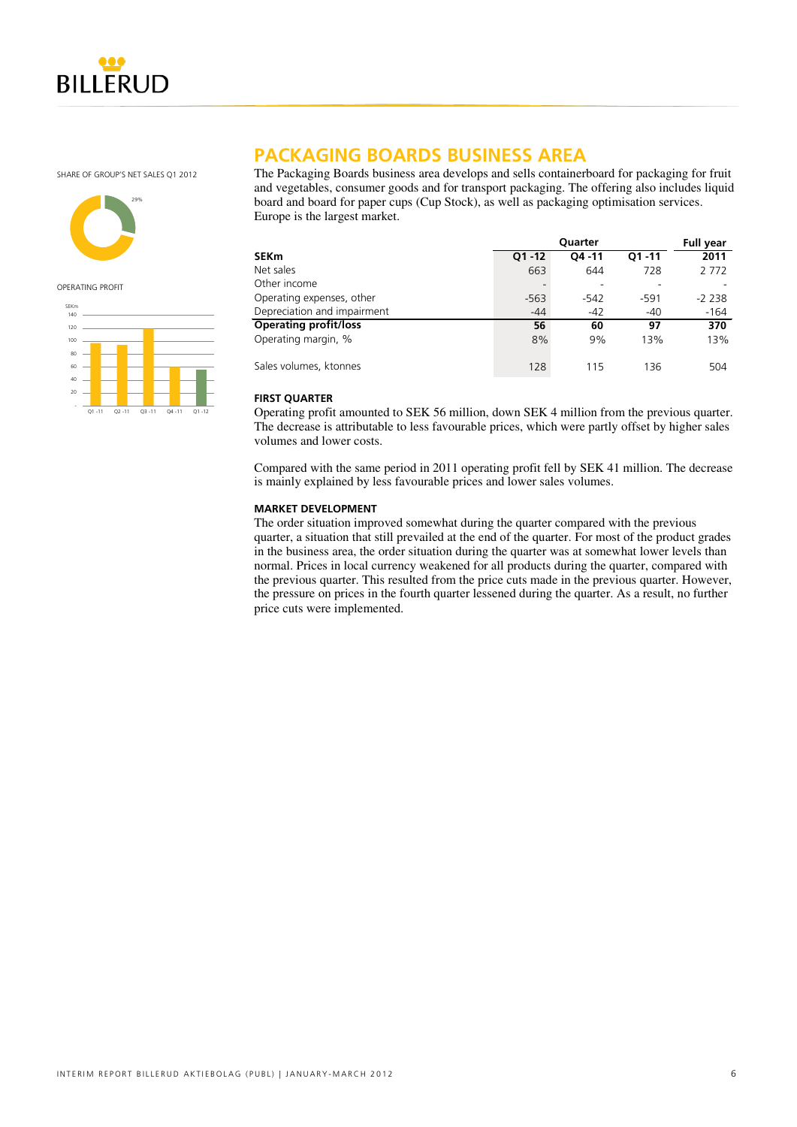

SHARE OF GROUP'S NET SALES Q1 2012



OPERATING PROFIT



### **PACKAGING BOARDS BUSINESS AREA**

The Packaging Boards business area develops and sells containerboard for packaging for fruit and vegetables, consumer goods and for transport packaging. The offering also includes liquid board and board for paper cups (Cup Stock), as well as packaging optimisation services. Europe is the largest market.

|                              |           | Quarter   |           | <b>Full year</b> |
|------------------------------|-----------|-----------|-----------|------------------|
| SEKm                         | $Q1 - 12$ | $04 - 11$ | $O1 - 11$ | 2011             |
| Net sales                    | 663       | 644       | 728       | 2 7 7 2          |
| Other income                 |           |           |           |                  |
| Operating expenses, other    | $-563$    | -542      | $-591$    | $-2238$          |
| Depreciation and impairment  | $-44$     | $-42$     | $-40$     | $-164$           |
| <b>Operating profit/loss</b> | 56        | 60        | 97        | 370              |
| Operating margin, %          | 8%        | 9%        | 13%       | 13%              |
| Sales volumes, ktonnes       | 128       | 115       | 136       | 504              |

### **FIRST QUARTER**

Operating profit amounted to SEK 56 million, down SEK 4 million from the previous quarter. The decrease is attributable to less favourable prices, which were partly offset by higher sales volumes and lower costs.

Compared with the same period in 2011 operating profit fell by SEK 41 million. The decrease is mainly explained by less favourable prices and lower sales volumes.

#### **MARKET DEVELOPMENT**

The order situation improved somewhat during the quarter compared with the previous quarter, a situation that still prevailed at the end of the quarter. For most of the product grades in the business area, the order situation during the quarter was at somewhat lower levels than normal. Prices in local currency weakened for all products during the quarter, compared with the previous quarter. This resulted from the price cuts made in the previous quarter. However, the pressure on prices in the fourth quarter lessened during the quarter. As a result, no further price cuts were implemented.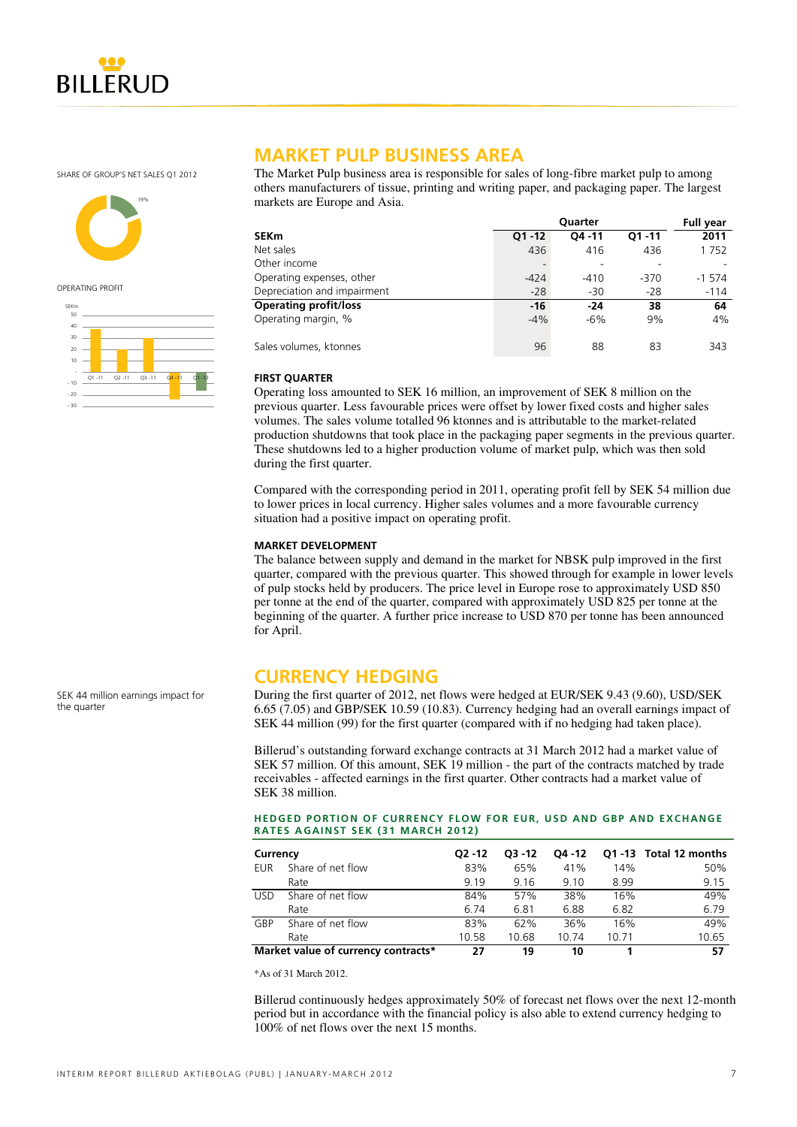

SHARE OF GROUP'S NET SALES Q1 2012



OPERATING PROFIT



### **MARKET PULP BUSINESS AREA**

The Market Pulp business area is responsible for sales of long-fibre market pulp to among others manufacturers of tissue, printing and writing paper, and packaging paper. The largest markets are Europe and Asia.

|                              |           | <b>Full year</b> |           |         |
|------------------------------|-----------|------------------|-----------|---------|
| <b>SEKm</b>                  | $Q1 - 12$ | $04 - 11$        | $O1 - 11$ | 2011    |
| Net sales                    | 436       | 416              | 436       | 1752    |
| Other income                 |           |                  |           |         |
| Operating expenses, other    | $-424$    | $-410$           | $-370$    | $-1574$ |
| Depreciation and impairment  | $-28$     | $-30$            | $-28$     | $-114$  |
| <b>Operating profit/loss</b> | $-16$     | $-24$            | 38        | 64      |
| Operating margin, %          | $-4%$     | $-6%$            | 9%        | 4%      |
| Sales volumes, ktonnes       | 96        | 88               | 83        | 343     |

### **FIRST QUARTER**

Operating loss amounted to SEK 16 million, an improvement of SEK 8 million on the previous quarter. Less favourable prices were offset by lower fixed costs and higher sales volumes. The sales volume totalled 96 ktonnes and is attributable to the market-related production shutdowns that took place in the packaging paper segments in the previous quarter. These shutdowns led to a higher production volume of market pulp, which was then sold during the first quarter.

Compared with the corresponding period in 2011, operating profit fell by SEK 54 million due to lower prices in local currency. Higher sales volumes and a more favourable currency situation had a positive impact on operating profit.

#### **MARKET DEVELOPMENT**

The balance between supply and demand in the market for NBSK pulp improved in the first quarter, compared with the previous quarter. This showed through for example in lower levels of pulp stocks held by producers. The price level in Europe rose to approximately USD 850 per tonne at the end of the quarter, compared with approximately USD 825 per tonne at the beginning of the quarter. A further price increase to USD 870 per tonne has been announced for April.

### **CURRENCY HEDGING**

During the first quarter of 2012, net flows were hedged at EUR/SEK 9.43 (9.60), USD/SEK 6.65 (7.05) and GBP/SEK 10.59 (10.83). Currency hedging had an overall earnings impact of SEK 44 million (99) for the first quarter (compared with if no hedging had taken place).

Billerud's outstanding forward exchange contracts at 31 March 2012 had a market value of SEK 57 million. Of this amount, SEK 19 million - the part of the contracts matched by trade receivables - affected earnings in the first quarter. Other contracts had a market value of SEK 38 million.

#### **HEDGED PORTION OF CURRENCY FLOW FOR EUR, USD AND GBP AND EXCHANGE RATES AGAINST SEK (31 MARCH 2012)**

| Currency   |                                     | $02 - 12$ | $O3 - 12$ | Q4 -12 |       | Q1-13 Total 12 months |
|------------|-------------------------------------|-----------|-----------|--------|-------|-----------------------|
| EUR        | Share of net flow                   | 83%       | 65%       | 41%    | 14%   | 50%                   |
|            | Rate                                | 9.19      | 9.16      | 9.10   | 8.99  | 9.15                  |
| <b>USD</b> | Share of net flow                   | 84%       | 57%       | 38%    | 16%   | 49%                   |
|            | Rate                                | 6.74      | 6.81      | 6.88   | 6.82  | 6.79                  |
| GBP        | Share of net flow                   | 83%       | 62%       | 36%    | 16%   | 49%                   |
|            | Rate                                | 10.58     | 10.68     | 10.74  | 10.71 | 10.65                 |
|            | Market value of currency contracts* | 27        | 19        | 10     |       | 57                    |

\*As of 31 March 2012.

Billerud continuously hedges approximately 50% of forecast net flows over the next 12-month period but in accordance with the financial policy is also able to extend currency hedging to 100% of net flows over the next 15 months.

SEK 44 million earnings impact for the quarter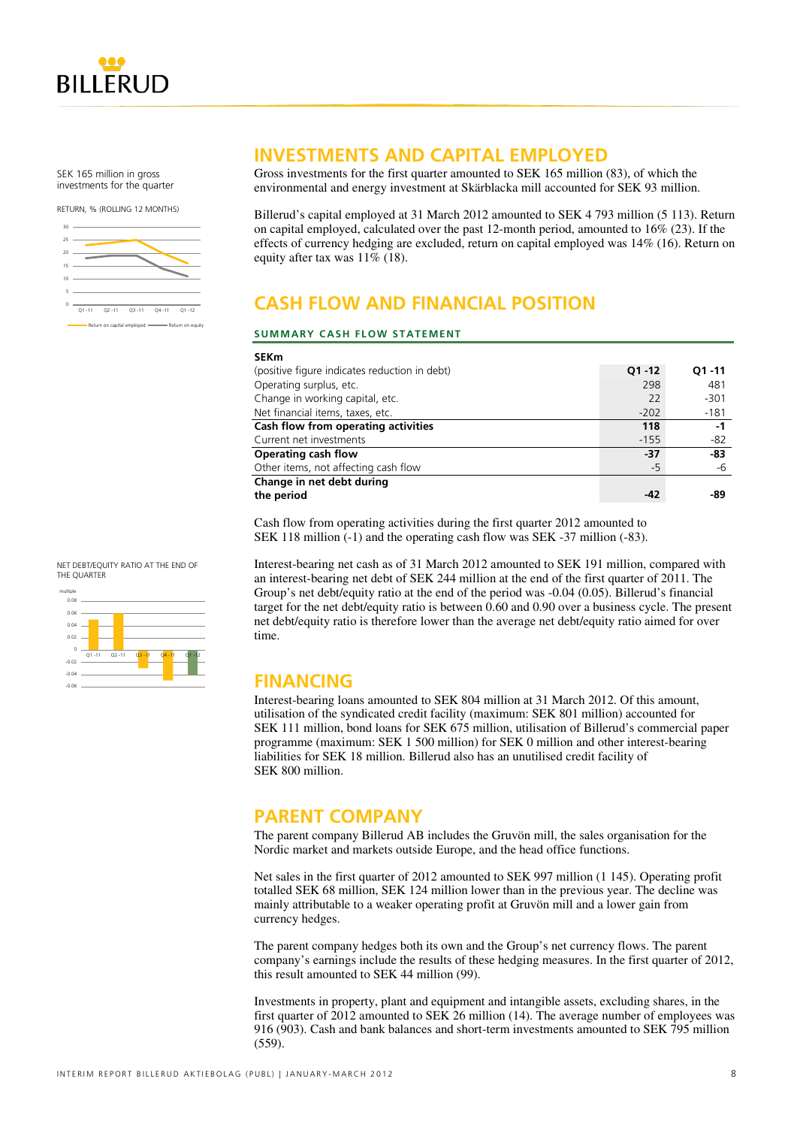

SEK 165 million in gross investments for the quarter

RETURN, % (ROLLING 12 MONTHS)



**INVESTMENTS AND CAPITAL EMPLOYED** 

Gross investments for the first quarter amounted to SEK 165 million (83), of which the environmental and energy investment at Skärblacka mill accounted for SEK 93 million.

Billerud's capital employed at 31 March 2012 amounted to SEK 4 793 million (5 113). Return on capital employed, calculated over the past 12-month period, amounted to 16% (23). If the effects of currency hedging are excluded, return on capital employed was 14% (16). Return on equity after tax was 11% (18).

# **CASH FLOW AND FINANCIAL POSITION**

### **SUMMARY CASH FLOW STATEMENT**

| <b>SEKm</b>                                   |           |           |
|-----------------------------------------------|-----------|-----------|
| (positive figure indicates reduction in debt) | $Q1 - 12$ | $O1 - 11$ |
| Operating surplus, etc.                       | 298       | 481       |
| Change in working capital, etc.               | 22        | $-301$    |
| Net financial items, taxes, etc.              | $-202$    | $-181$    |
| Cash flow from operating activities           | 118       | -1        |
| Current net investments                       | $-155$    | $-82$     |
| Operating cash flow                           | -37       | -83       |
| Other items, not affecting cash flow          | $-5$      | -6        |
| Change in net debt during                     |           |           |
| the period                                    | -42       | -89       |

Cash flow from operating activities during the first quarter 2012 amounted to SEK 118 million (-1) and the operating cash flow was SEK -37 million (-83).

Interest-bearing net cash as of 31 March 2012 amounted to SEK 191 million, compared with an interest-bearing net debt of SEK 244 million at the end of the first quarter of 2011. The Group's net debt/equity ratio at the end of the period was -0.04 (0.05). Billerud's financial target for the net debt/equity ratio is between 0.60 and 0.90 over a business cycle. The present net debt/equity ratio is therefore lower than the average net debt/equity ratio aimed for over time.

### **FINANCING**

Interest-bearing loans amounted to SEK 804 million at 31 March 2012. Of this amount, utilisation of the syndicated credit facility (maximum: SEK 801 million) accounted for SEK 111 million, bond loans for SEK 675 million, utilisation of Billerud's commercial paper programme (maximum: SEK 1 500 million) for SEK 0 million and other interest-bearing liabilities for SEK 18 million. Billerud also has an unutilised credit facility of SEK 800 million.

### **PARENT COMPANY**

The parent company Billerud AB includes the Gruvön mill, the sales organisation for the Nordic market and markets outside Europe, and the head office functions.

Net sales in the first quarter of 2012 amounted to SEK 997 million (1 145). Operating profit totalled SEK 68 million, SEK 124 million lower than in the previous year. The decline was mainly attributable to a weaker operating profit at Gruvön mill and a lower gain from currency hedges.

The parent company hedges both its own and the Group's net currency flows. The parent company's earnings include the results of these hedging measures. In the first quarter of 2012, this result amounted to SEK 44 million (99).

Investments in property, plant and equipment and intangible assets, excluding shares, in the first quarter of 2012 amounted to SEK 26 million (14). The average number of employees was 916 (903). Cash and bank balances and short-term investments amounted to SEK 795 million (559).

-0.02 0.02  $0.04 -$ 0.06  $0.08$  $Q1 - 11$   $Q2 - 11$ multiple

NET DEBT/EQUITY RATIO AT THE END OF

THE QUARTER

-0.06 -0.04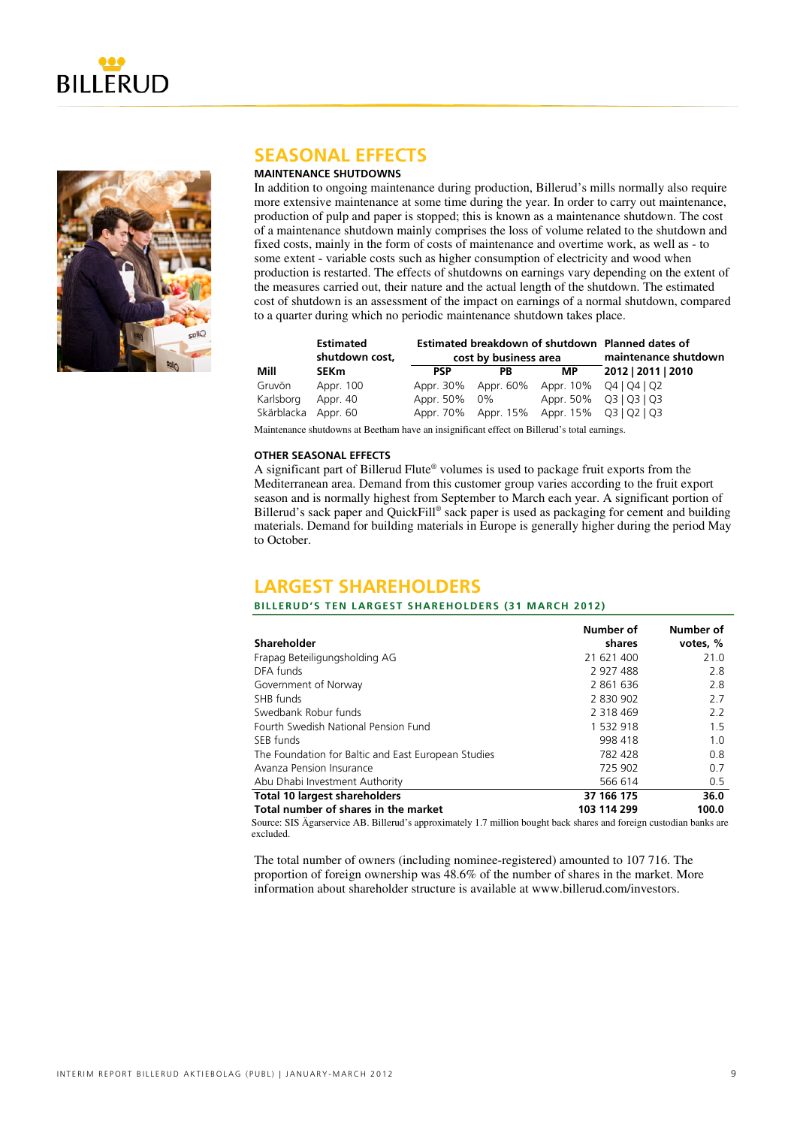



### **SEASONAL EFFECTS**

### **MAINTENANCE SHUTDOWNS**

In addition to ongoing maintenance during production, Billerud's mills normally also require more extensive maintenance at some time during the year. In order to carry out maintenance, production of pulp and paper is stopped; this is known as a maintenance shutdown. The cost of a maintenance shutdown mainly comprises the loss of volume related to the shutdown and fixed costs, mainly in the form of costs of maintenance and overtime work, as well as - to some extent - variable costs such as higher consumption of electricity and wood when production is restarted. The effects of shutdowns on earnings vary depending on the extent of the measures carried out, their nature and the actual length of the shutdown. The estimated cost of shutdown is an assessment of the impact on earnings of a normal shutdown, compared to a quarter during which no periodic maintenance shutdown takes place.

|                     | <b>Estimated</b><br>shutdown cost, | Estimated breakdown of shutdown Planned dates of<br>cost by business area |           | maintenance shutdown                       |                        |
|---------------------|------------------------------------|---------------------------------------------------------------------------|-----------|--------------------------------------------|------------------------|
| Mill                | <b>SEKm</b>                        | <b>PSP</b>                                                                | <b>PB</b> | МP                                         | 2012   2011   2010     |
| Gruvön              | Appr. 100                          |                                                                           |           | Appr. 30% Appr. 60% Appr. 10% Q4   Q4   Q2 |                        |
| Karlsborg           | Appr. 40                           | Appr. 50% 0%                                                              |           |                                            | Appr. 50% Q3   Q3   Q3 |
| Skärblacka Appr. 60 |                                    |                                                                           |           | Appr. 70% Appr. 15% Appr. 15% Q3   Q2   Q3 |                        |

Maintenance shutdowns at Beetham have an insignificant effect on Billerud's total earnings.

#### **OTHER SEASONAL EFFECTS**

A significant part of Billerud Flute® volumes is used to package fruit exports from the Mediterranean area. Demand from this customer group varies according to the fruit export season and is normally highest from September to March each year. A significant portion of Billerud's sack paper and QuickFill® sack paper is used as packaging for cement and building materials. Demand for building materials in Europe is generally higher during the period May to October.

### **LARGEST SHAREHOLDERS**

### **BILLERUD'S TEN LARGEST SHAREHOLDERS (31 MARCH 2012)**

|                                                     | Number of   | Number of |
|-----------------------------------------------------|-------------|-----------|
| Shareholder                                         | shares      | votes, %  |
| Frapag Beteiligungsholding AG                       | 21 621 400  | 21.0      |
| DFA funds                                           | 2 927 488   | 2.8       |
| Government of Norway                                | 2861636     | 2.8       |
| SHB funds                                           | 2 830 902   | 2.7       |
| Swedbank Robur funds                                | 2 318 469   | 2.2       |
| Fourth Swedish National Pension Fund                | 1 532 918   | 1.5       |
| SEB funds                                           | 998 418     | 1.0       |
| The Foundation for Baltic and East European Studies | 782 428     | 0.8       |
| Avanza Pension Insurance                            | 725 902     | 0.7       |
| Abu Dhabi Investment Authority                      | 566 614     | 0.5       |
| <b>Total 10 largest shareholders</b>                | 37 166 175  | 36.0      |
| Total number of shares in the market                | 103 114 299 | 100.0     |

Source: SIS Ägarservice AB. Billerud's approximately 1.7 million bought back shares and foreign custodian banks are excluded.

The total number of owners (including nominee-registered) amounted to 107 716. The proportion of foreign ownership was 48.6% of the number of shares in the market. More information about shareholder structure is available at www.billerud.com/investors.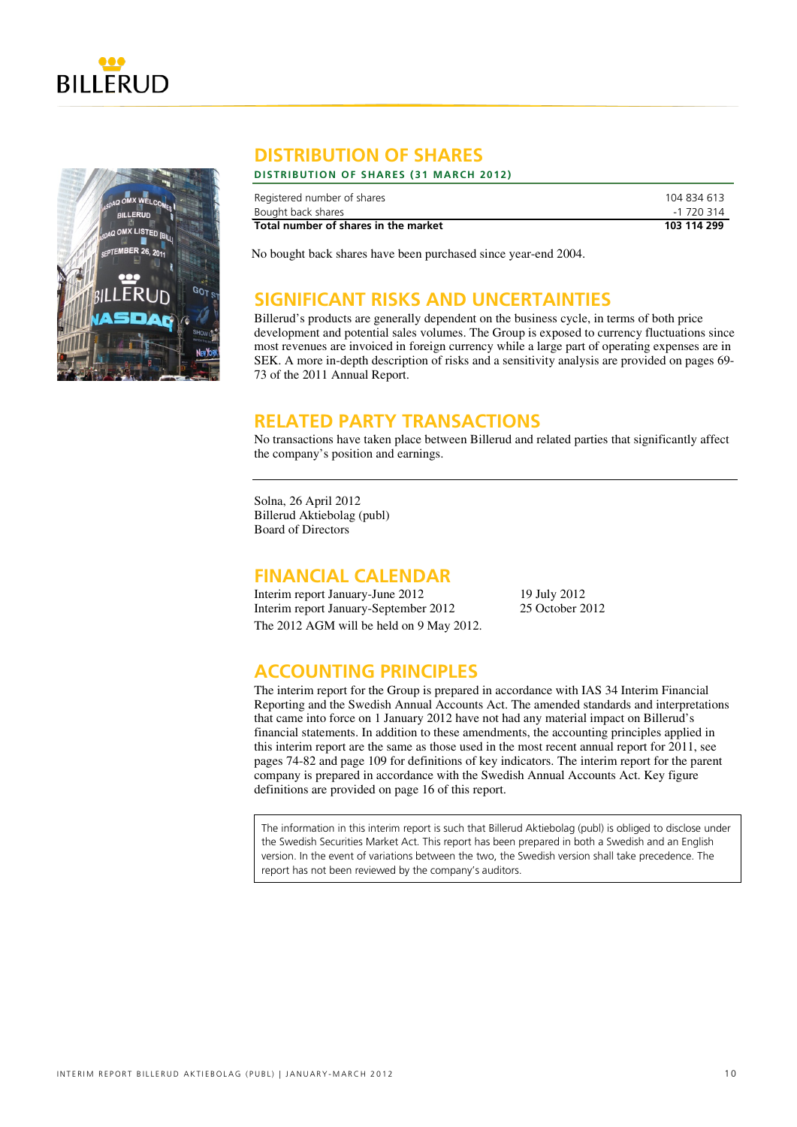



### **DISTRIBUTION OF SHARES**

### **DISTRIBUTION OF SHARES (31 MARCH 2012)**

| Registered number of shares          | 104 834 613 |
|--------------------------------------|-------------|
| Bought back shares                   | -1 720 314  |
| Total number of shares in the market | 103 114 299 |

No bought back shares have been purchased since year-end 2004.

### **SIGNIFICANT RISKS AND UNCERTAINTIES**

Billerud's products are generally dependent on the business cycle, in terms of both price development and potential sales volumes. The Group is exposed to currency fluctuations since most revenues are invoiced in foreign currency while a large part of operating expenses are in SEK. A more in-depth description of risks and a sensitivity analysis are provided on pages 69- 73 of the 2011 Annual Report.

### **RELATED PARTY TRANSACTIONS**

No transactions have taken place between Billerud and related parties that significantly affect the company's position and earnings.

Solna, 26 April 2012 Billerud Aktiebolag (publ) Board of Directors

### **FINANCIAL CALENDAR**

Interim report January-June 2012 19 July 2012 Interim report January-September 2012 25 October 2012 The 2012 AGM will be held on 9 May 2012.

### **ACCOUNTING PRINCIPLES**

The interim report for the Group is prepared in accordance with IAS 34 Interim Financial Reporting and the Swedish Annual Accounts Act. The amended standards and interpretations that came into force on 1 January 2012 have not had any material impact on Billerud's financial statements. In addition to these amendments, the accounting principles applied in this interim report are the same as those used in the most recent annual report for 2011, see pages 74-82 and page 109 for definitions of key indicators. The interim report for the parent company is prepared in accordance with the Swedish Annual Accounts Act. Key figure definitions are provided on page 16 of this report.

The information in this interim report is such that Billerud Aktiebolag (publ) is obliged to disclose under the Swedish Securities Market Act. This report has been prepared in both a Swedish and an English version. In the event of variations between the two, the Swedish version shall take precedence. The report has not been reviewed by the company's auditors.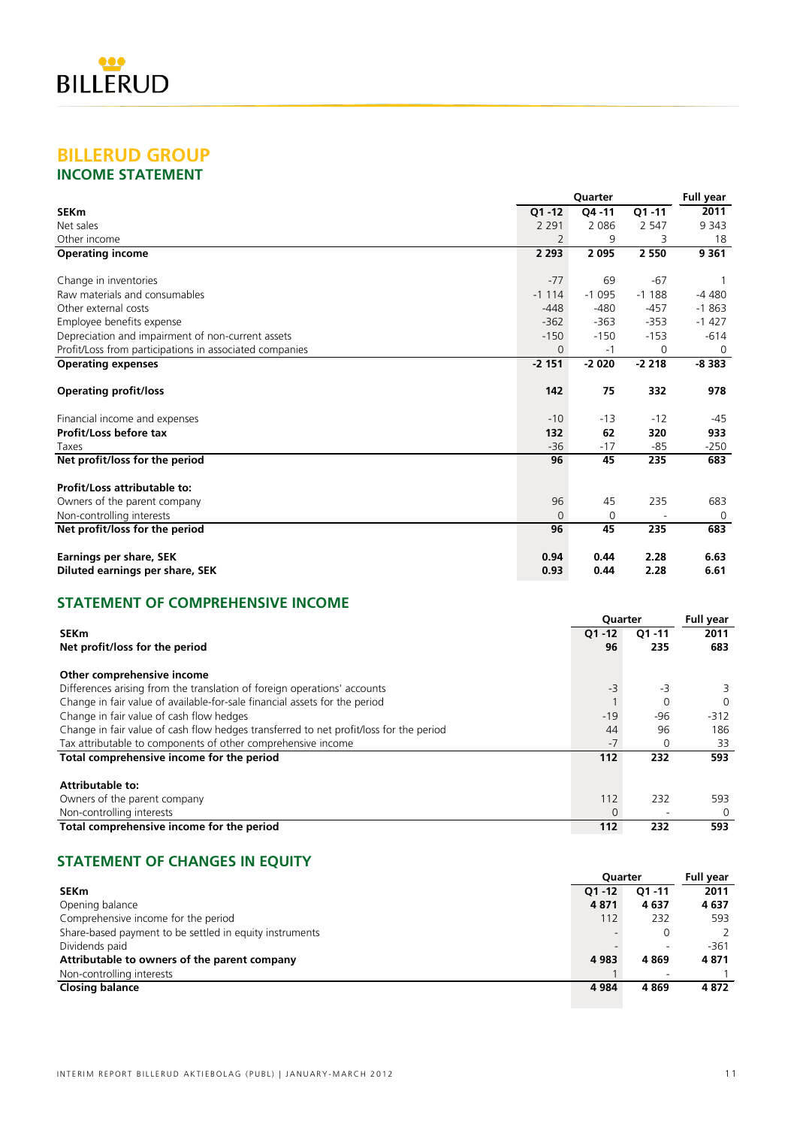

### **BILLERUD GROUP INCOME STATEMENT**

|                                                         |           | Quarter |           | Full year      |
|---------------------------------------------------------|-----------|---------|-----------|----------------|
| <b>SEKm</b>                                             | $Q1 - 12$ | Q4 -11  | $Q1 - 11$ | 2011           |
| Net sales                                               | 2 2 9 1   | 2 0 8 6 | 2 5 4 7   | 9 3 4 3        |
| Other income                                            |           | 9       | 3         | 18             |
| <b>Operating income</b>                                 | 2 2 9 3   | 2095    | 2 5 5 0   | 9 3 6 1        |
| Change in inventories                                   | $-77$     | 69      | $-67$     | -1             |
| Raw materials and consumables                           | $-1114$   | $-1095$ | $-1188$   | $-4480$        |
| Other external costs                                    | $-448$    | $-480$  | $-457$    | $-1863$        |
| Employee benefits expense                               | $-362$    | $-363$  | $-353$    | $-1427$        |
| Depreciation and impairment of non-current assets       | $-150$    | $-150$  | $-153$    | $-614$         |
| Profit/Loss from participations in associated companies | 0         | -1      | $\Omega$  | $\Omega$       |
| <b>Operating expenses</b>                               | $-2151$   | $-2020$ | $-2218$   | $-8383$        |
| <b>Operating profit/loss</b>                            | 142       | 75      | 332       | 978            |
| Financial income and expenses                           | $-10$     | $-13$   | $-12$     | $-45$          |
| Profit/Loss before tax                                  | 132       | 62      | 320       | 933            |
| Taxes                                                   | $-36$     | $-17$   | $-85$     | $-250$         |
| Net profit/loss for the period                          | 96        | 45      | 235       | 683            |
| Profit/Loss attributable to:                            |           |         |           |                |
| Owners of the parent company                            | 96        | 45      | 235       | 683            |
| Non-controlling interests                               | $\Omega$  | 0       |           | $\overline{0}$ |
| Net profit/loss for the period                          | 96        | 45      | 235       | 683            |
| <b>Earnings per share, SEK</b>                          | 0.94      | 0.44    | 2.28      | 6.63           |
| Diluted earnings per share, SEK                         | 0.93      | 0.44    | 2.28      | 6.61           |

### **STATEMENT OF COMPREHENSIVE INCOME**

|                                                                                        | Quarter   | <b>Full year</b> |          |
|----------------------------------------------------------------------------------------|-----------|------------------|----------|
| <b>SEKm</b>                                                                            | $Q1 - 12$ | $Q1 - 11$        | 2011     |
| Net profit/loss for the period                                                         | 96        | 235              | 683      |
| Other comprehensive income                                                             |           |                  |          |
| Differences arising from the translation of foreign operations' accounts               | $-3$      | -3               |          |
| Change in fair value of available-for-sale financial assets for the period             |           | 0                | $\Omega$ |
| Change in fair value of cash flow hedges                                               | $-19$     | $-96$            | $-312$   |
| Change in fair value of cash flow hedges transferred to net profit/loss for the period | 44        | 96               | 186      |
| Tax attributable to components of other comprehensive income                           | $-7$      | 0                | 33       |
| Total comprehensive income for the period                                              | 112       | 232              | 593      |
| <b>Attributable to:</b>                                                                |           |                  |          |
| Owners of the parent company                                                           | 112       | 232              | 593      |
| Non-controlling interests                                                              | 0         |                  | 0        |
| Total comprehensive income for the period                                              | 112       | 232              | 593      |

### **STATEMENT OF CHANGES IN EQUITY**

|                                                         |           | <b>Ouarter</b> |        |  |
|---------------------------------------------------------|-----------|----------------|--------|--|
| <b>SEKm</b>                                             | $O1 - 12$ | $Q1 - 11$      | 2011   |  |
| Opening balance                                         | 4871      | 4637           | 4637   |  |
| Comprehensive income for the period                     | 112       | 232            | 593    |  |
| Share-based payment to be settled in equity instruments |           | 0              |        |  |
| Dividends paid                                          |           |                | $-361$ |  |
| Attributable to owners of the parent company            | 4983      | 4869           | 4871   |  |
| Non-controlling interests                               |           |                |        |  |
| <b>Closing balance</b>                                  | 4984      | 4869           | 4872   |  |
|                                                         |           |                |        |  |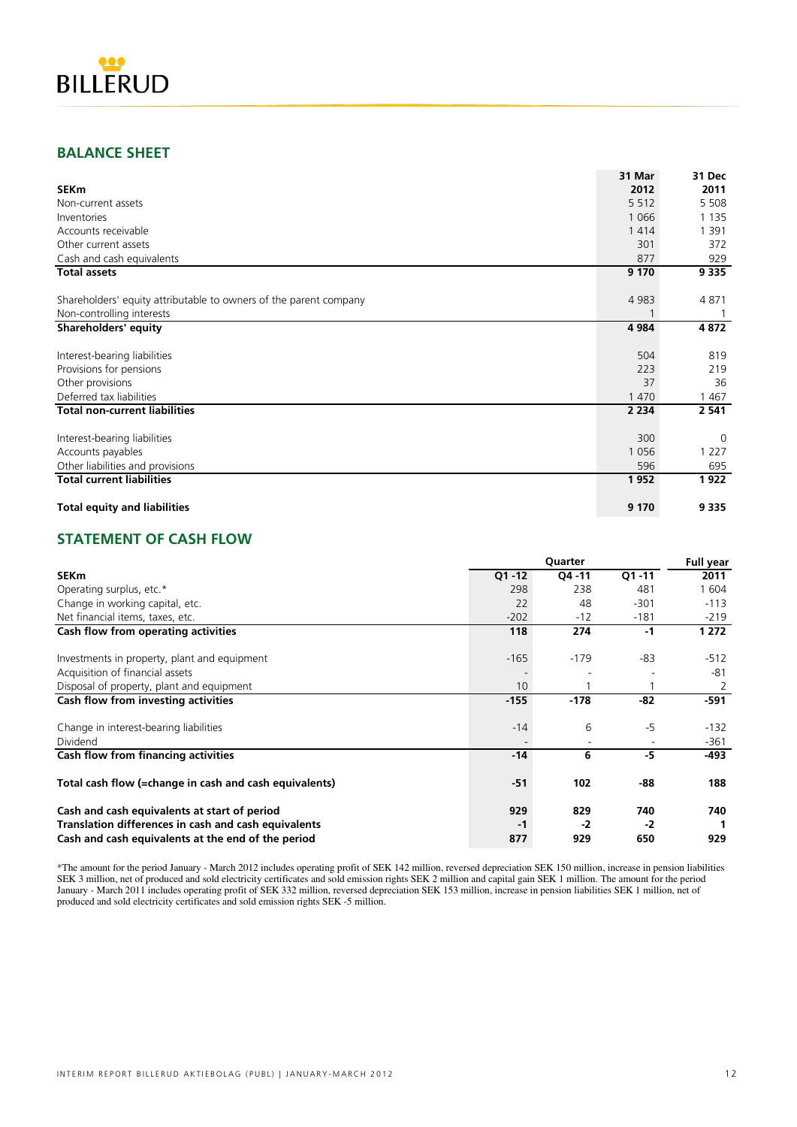

### **BALANCE SHEET**

|                                                                   | 31 Mar  | 31 Dec   |
|-------------------------------------------------------------------|---------|----------|
| <b>SEKm</b>                                                       | 2012    | 2011     |
| Non-current assets                                                | 5 5 1 2 | 5 5 0 8  |
| Inventories                                                       | 1 0 6 6 | 1 1 3 5  |
| Accounts receivable                                               | 1414    | 1 3 9 1  |
| Other current assets                                              | 301     | 372      |
| Cash and cash equivalents                                         | 877     | 929      |
| <b>Total assets</b>                                               | 9 1 7 0 | 9 3 3 5  |
| Shareholders' equity attributable to owners of the parent company | 4 9 8 3 | 4871     |
| Non-controlling interests                                         |         |          |
| Shareholders' equity                                              | 4 9 8 4 | 4872     |
|                                                                   |         |          |
| Interest-bearing liabilities                                      | 504     | 819      |
| Provisions for pensions                                           | 223     | 219      |
| Other provisions                                                  | 37      | 36       |
| Deferred tax liabilities                                          | 1 4 7 0 | 1467     |
| <b>Total non-current liabilities</b>                              | 2 2 3 4 | 2 541    |
| Interest-bearing liabilities                                      | 300     | $\Omega$ |
| Accounts payables                                                 | 1056    | 1 2 2 7  |
| Other liabilities and provisions                                  | 596     | 695      |
| <b>Total current liabilities</b>                                  | 1952    | 1922     |
| <b>Total equity and liabilities</b>                               | 9 1 7 0 | 9 3 3 5  |

### **STATEMENT OF CASH FLOW**

|                                                        |           | Quarter |           | <b>Full year</b> |
|--------------------------------------------------------|-----------|---------|-----------|------------------|
| <b>SEKm</b>                                            | $Q1 - 12$ | Q4 - 11 | $Q1 - 11$ | 2011             |
| Operating surplus, etc.*                               | 298       | 238     | 481       | 1 604            |
| Change in working capital, etc.                        | 22        | 48      | $-301$    | $-113$           |
| Net financial items, taxes, etc.                       | $-202$    | -12     | $-181$    | $-219$           |
| Cash flow from operating activities                    | 118       | 274     | $-1$      | 1 272            |
| Investments in property, plant and equipment           | $-165$    | $-179$  | -83       | $-512$           |
| Acquisition of financial assets                        |           |         |           | -81              |
| Disposal of property, plant and equipment              | 10        |         |           | 2                |
| Cash flow from investing activities                    | $-155$    | $-178$  | -82       | -591             |
| Change in interest-bearing liabilities                 | $-14$     | 6       | -5        | $-132$           |
| Dividend                                               |           |         |           | -361             |
| Cash flow from financing activities                    | $-14$     | 6       | -5        | -493             |
| Total cash flow (=change in cash and cash equivalents) | $-51$     | 102     | -88       | 188              |
| Cash and cash equivalents at start of period           | 929       | 829     | 740       | 740              |
| Translation differences in cash and cash equivalents   | -1        | -2      | -2        |                  |
| Cash and cash equivalents at the end of the period     | 877       | 929     | 650       | 929              |

\*The amount for the period January - March 2012 includes operating profit of SEK 142 million, reversed depreciation SEK 150 million, increase in pension liabilities SEK 3 million, net of produced and sold electricity certificates and sold emission rights SEK 2 million and capital gain SEK 1 million. The amount for the period January - March 2011 includes operating profit of SEK 332 million, reversed depreciation SEK 153 million, increase in pension liabilities SEK 1 million, net of produced and sold electricity certificates and sold emission rights SEK -5 million.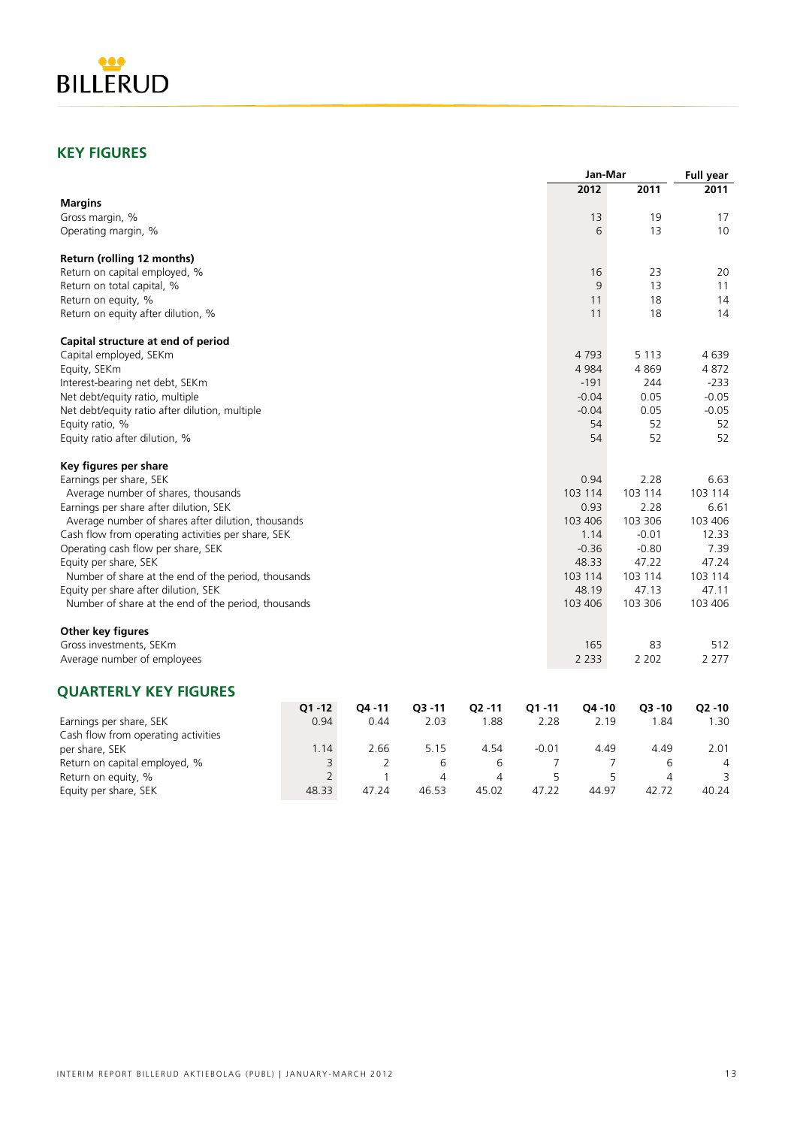

### **KEY FIGURES**

|                                                     |                |                |           |        |         | Jan-Mar |         | <b>Full year</b> |
|-----------------------------------------------------|----------------|----------------|-----------|--------|---------|---------|---------|------------------|
|                                                     |                |                |           |        |         | 2012    | 2011    | 2011             |
| <b>Margins</b>                                      |                |                |           |        |         |         |         |                  |
| Gross margin, %                                     |                |                |           |        |         | 13      | 19      | 17               |
| Operating margin, %                                 |                |                |           |        |         | 6       | 13      | 10               |
| Return (rolling 12 months)                          |                |                |           |        |         |         |         |                  |
| Return on capital employed, %                       |                |                |           |        |         | 16      | 23      | 20               |
| Return on total capital, %                          |                |                |           |        |         | 9       | 13      | 11               |
| Return on equity, %                                 |                |                |           |        |         | 11      | 18      | 14               |
| Return on equity after dilution, %                  |                |                |           |        |         | 11      | 18      | 14               |
| Capital structure at end of period                  |                |                |           |        |         |         |         |                  |
| Capital employed, SEKm                              |                |                |           |        |         | 4 7 9 3 | 5 1 1 3 | 4639             |
| Equity, SEKm                                        |                |                |           |        |         | 4 9 8 4 | 4869    | 4872             |
| Interest-bearing net debt, SEKm                     |                |                |           |        |         | $-191$  | 244     | $-233$           |
| Net debt/equity ratio, multiple                     |                |                |           |        |         | $-0.04$ | 0.05    | $-0.05$          |
| Net debt/equity ratio after dilution, multiple      |                |                |           |        |         | $-0.04$ | 0.05    | $-0.05$          |
| Equity ratio, %                                     |                |                |           |        |         | 54      | 52      | 52               |
| Equity ratio after dilution, %                      |                |                |           |        |         | 54      | 52      | 52               |
| Key figures per share                               |                |                |           |        |         |         |         |                  |
| Earnings per share, SEK                             |                |                |           |        |         | 0.94    | 2.28    | 6.63             |
| Average number of shares, thousands                 |                |                |           |        |         | 103 114 | 103 114 | 103 114          |
| Earnings per share after dilution, SEK              |                |                |           |        |         | 0.93    | 2.28    | 6.61             |
| Average number of shares after dilution, thousands  |                |                |           |        |         | 103 406 | 103 306 | 103 406          |
| Cash flow from operating activities per share, SEK  |                |                |           |        |         | 1.14    | $-0.01$ | 12.33            |
| Operating cash flow per share, SEK                  |                |                |           |        |         | $-0.36$ | $-0.80$ | 7.39             |
| Equity per share, SEK                               |                |                |           |        |         | 48.33   | 47.22   | 47.24            |
| Number of share at the end of the period, thousands |                |                |           |        |         | 103 114 | 103 114 | 103 114          |
| Equity per share after dilution, SEK                |                |                |           |        |         | 48.19   | 47.13   | 47.11            |
| Number of share at the end of the period, thousands |                |                |           |        |         | 103 406 | 103 306 | 103 406          |
| Other key figures                                   |                |                |           |        |         |         |         |                  |
| Gross investments, SEKm                             |                |                |           |        |         | 165     | 83      | 512              |
| Average number of employees                         |                |                |           |        |         | 2 2 3 3 | 2 2 0 2 | 2 2 7 7          |
| <b>QUARTERLY KEY FIGURES</b>                        |                |                |           |        |         |         |         |                  |
|                                                     | $Q1 - 12$      | Q4 - 11        | $Q3 - 11$ | Q2 -11 | Q1-11   | Q4 -10  | Q3 -10  | $Q2 - 10$        |
| Earnings per share, SEK                             | 0.94           | 0.44           | 2.03      | 1.88   | 2.28    | 2.19    | 1.84    | 1.30             |
| Cash flow from operating activities                 |                |                |           |        |         |         |         |                  |
| per share, SEK                                      | 1.14           | 2.66           | 5.15      | 4.54   | $-0.01$ | 4.49    | 4.49    | 2.01             |
| Return on capital employed, %                       | 3              | $\overline{2}$ | 6         | 6      | 7       | 7       | 6       | 4                |
| Return on equity, %                                 | $\overline{2}$ | $\mathbf{1}$   | 4         | 4      | 5       | 5       | 4       | 3                |
| Equity per share, SEK                               | 48.33          | 47.24          | 46.53     | 45.02  | 47.22   | 44.97   | 42.72   | 40.24            |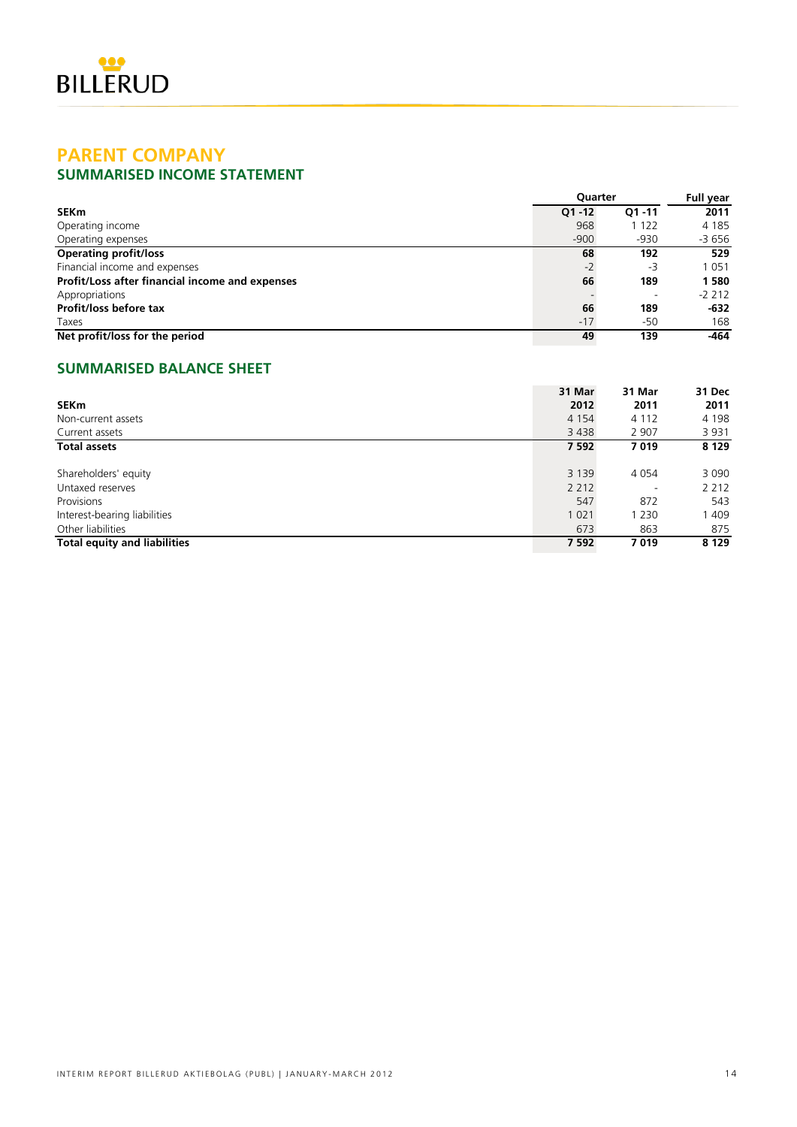

### **PARENT COMPANY SUMMARISED INCOME STATEMENT**

|                                                 | <b>Ouarter</b> |                          | Full year |
|-------------------------------------------------|----------------|--------------------------|-----------|
| <b>SEKm</b>                                     | $Q1 - 12$      | Q1 -11                   | 2011      |
| Operating income                                | 968            | 1 1 2 2                  | 4 1 8 5   |
| Operating expenses                              | $-900$         | $-930$                   | -3 656    |
| <b>Operating profit/loss</b>                    | 68             | 192                      | 529       |
| Financial income and expenses                   | $-2$           | -3                       | 1 0 5 1   |
| Profit/Loss after financial income and expenses | 66             | 189                      | 1580      |
| Appropriations                                  |                | $\overline{\phantom{a}}$ | $-2212$   |
| Profit/loss before tax                          | 66             | 189                      | -632      |
| Taxes                                           | $-17$          | -50                      | 168       |
| Net profit/loss for the period                  | 49             | 139                      | -464      |

### **SUMMARISED BALANCE SHEET**

|                                     | 31 Mar  | 31 Mar  | 31 Dec  |
|-------------------------------------|---------|---------|---------|
| <b>SEKm</b>                         | 2012    | 2011    | 2011    |
| Non-current assets                  | 4 1 5 4 | 4 1 1 2 | 4 1 9 8 |
| Current assets                      | 3438    | 2 9 0 7 | 3 9 3 1 |
| <b>Total assets</b>                 | 7 5 9 2 | 7019    | 8 1 2 9 |
|                                     |         |         |         |
| Shareholders' equity                | 3 1 3 9 | 4 0 5 4 | 3 0 9 0 |
| Untaxed reserves                    | 2 2 1 2 |         | 2 2 1 2 |
| Provisions                          | 547     | 872     | 543     |
| Interest-bearing liabilities        | 1 0 2 1 | 1 230   | 409     |
| Other liabilities                   | 673     | 863     | 875     |
| <b>Total equity and liabilities</b> | 7 5 9 2 | 7019    | 8 1 2 9 |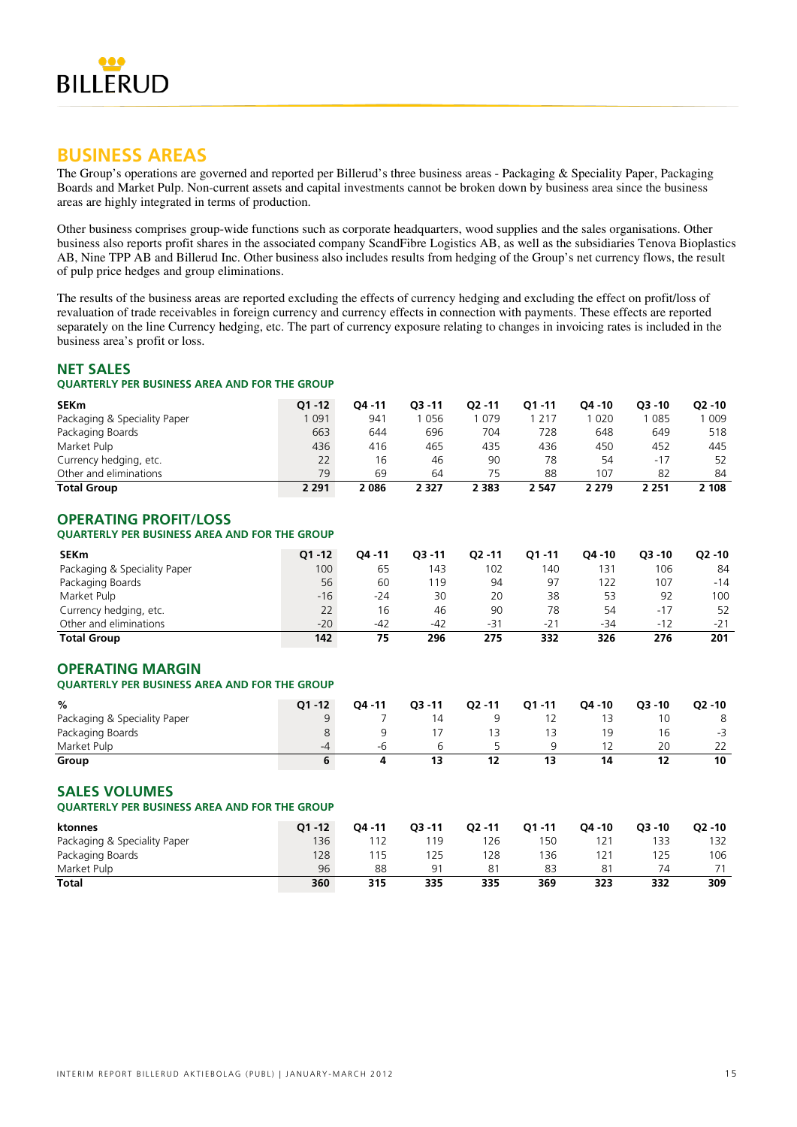

### **BUSINESS AREAS**

The Group's operations are governed and reported per Billerud's three business areas - Packaging & Speciality Paper, Packaging Boards and Market Pulp. Non-current assets and capital investments cannot be broken down by business area since the business areas are highly integrated in terms of production.

Other business comprises group-wide functions such as corporate headquarters, wood supplies and the sales organisations. Other business also reports profit shares in the associated company ScandFibre Logistics AB, as well as the subsidiaries Tenova Bioplastics AB, Nine TPP AB and Billerud Inc. Other business also includes results from hedging of the Group's net currency flows, the result of pulp price hedges and group eliminations.

The results of the business areas are reported excluding the effects of currency hedging and excluding the effect on profit/loss of revaluation of trade receivables in foreign currency and currency effects in connection with payments. These effects are reported separately on the line Currency hedging, etc. The part of currency exposure relating to changes in invoicing rates is included in the business area's profit or loss.

### **NET SALES**

### **QUARTERLY PER BUSINESS AREA AND FOR THE GROUP**

| <b>SEKm</b>                  | $O1 - 12$ | 04 - 11 | 03 - 11 | $O2 - 11$ | $O1 - 11$ | O4 - 10 | $O3 - 10$ | $O2 - 10$ |
|------------------------------|-----------|---------|---------|-----------|-----------|---------|-----------|-----------|
| Packaging & Speciality Paper | 091       | 941     | 056     | 079       | 217       | l 020   | 085       | ' 009     |
| Packaging Boards             | 663       | 644     | 696     | 704       | 728       | 648     | 649       | 518       |
| Market Pulp                  | 436       | 416     | 465     | 435       | 436       | 450     | 452       | 445       |
| Currency hedging, etc.       | 22        | 16      | 46      | 90        | 78        | 54      | $-17$     | 52        |
| Other and eliminations       | 79        | 69      | 64      | 75        | 88        | 107     | 82        | 84        |
| <b>Total Group</b>           | 2 2 9 1   | 2 086   | 2 327   | 2 3 8 3   | 2 547     | 2 279   | 2 251     | 2 108     |

### **OPERATING PROFIT/LOSS QUARTERLY PER BUSINESS AREA AND FOR THE GROUP**

| <b>SEKm</b>                  | $O1 - 12$ | 04 - 11 | $O3 - 11$ | $02 - 11$ | $O1 - 11$ | O4 - 10 | $Q3 - 10$ | $O2 - 10$ |
|------------------------------|-----------|---------|-----------|-----------|-----------|---------|-----------|-----------|
| Packaging & Speciality Paper | 100       | 65      | 143       | 102       | 140       | 131     | 106       | 84        |
| Packaging Boards             | 56        | 60      | 19        | 94        | 97        | 122     | 107       | $-14$     |
| Market Pulp                  | $-16$     | $-24$   | 30        | 20        | 38        | 53      | 92        | 100       |
| Currency hedging, etc.       | 22        | 16      | 46        | 90        | 78        | 54      | $-17$     | 52        |
| Other and eliminations       | $-20$     | $-42$   | $-42$     | $-31$     | $-21$     | $-34$   | $-12$     | $-21$     |
| <b>Total Group</b>           | 142       | 75      | 296       | 275       | 332       | 326     | 276       | 201       |

### **OPERATING MARGIN**

### **QUARTERLY PER BUSINESS AREA AND FOR THE GROUP**

| %                            | $O1 - 12$ | $04 - 11$ | $O3 - 11$ | $Q2 - 11$ | $O1 - 11$ | $Q4 - 10$ | $O3 - 10$ | $Q2 - 10$ |
|------------------------------|-----------|-----------|-----------|-----------|-----------|-----------|-----------|-----------|
| Packaging & Speciality Paper | a         |           | 14        |           |           |           |           | 8         |
| Packaging Boards             |           |           |           |           |           |           | 16        | $-3$      |
| Market Pulp                  | -4        | -h        |           |           |           |           | 20        | 22        |
| Group                        |           |           | 13        | 12        |           | 14        | 12        | 10        |

### **SALES VOLUMES**

**QUARTERLY PER BUSINESS AREA AND FOR THE GROUP**

| ktonnes                      | $O1 - 12$ | $04 - 11$ | $O3 - 11$      | $Q2 - 11$ | $O1 - 11$ | $04 - 10$ | $O3 - 10$ | $O2 - 10$ |
|------------------------------|-----------|-----------|----------------|-----------|-----------|-----------|-----------|-----------|
| Packaging & Speciality Paper | 136       |           | 119            | 126       | 150       | 121       | ' 33      | 132       |
| Packaging Boards             | 128       | ' 15      | 125            | 128       | 136       | 121       | 125       | 106       |
| Market Pulp                  | 96        | 88        | Q <sub>1</sub> | 81        | 83        | 81        | 74        | 71        |
| Total                        | 360       | 315       | 335            | 335       | 369       | 323       | 332       | 309       |